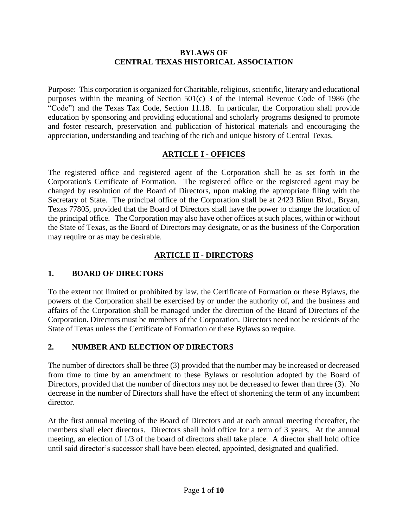#### **BYLAWS OF CENTRAL TEXAS HISTORICAL ASSOCIATION**

Purpose: This corporation is organized for Charitable, religious, scientific, literary and educational purposes within the meaning of Section 501(c) 3 of the Internal Revenue Code of 1986 (the "Code") and the Texas Tax Code, Section 11.18. In particular, the Corporation shall provide education by sponsoring and providing educational and scholarly programs designed to promote and foster research, preservation and publication of historical materials and encouraging the appreciation, understanding and teaching of the rich and unique history of Central Texas.

### **ARTICLE I - OFFICES**

The registered office and registered agent of the Corporation shall be as set forth in the Corporation's Certificate of Formation. The registered office or the registered agent may be changed by resolution of the Board of Directors, upon making the appropriate filing with the Secretary of State. The principal office of the Corporation shall be at 2423 Blinn Blvd., Bryan, Texas 77805, provided that the Board of Directors shall have the power to change the location of the principal office. The Corporation may also have other offices at such places, within or without the State of Texas, as the Board of Directors may designate, or as the business of the Corporation may require or as may be desirable.

### **ARTICLE II - DIRECTORS**

#### **1. BOARD OF DIRECTORS**

To the extent not limited or prohibited by law, the Certificate of Formation or these Bylaws, the powers of the Corporation shall be exercised by or under the authority of, and the business and affairs of the Corporation shall be managed under the direction of the Board of Directors of the Corporation. Directors must be members of the Corporation. Directors need not be residents of the State of Texas unless the Certificate of Formation or these Bylaws so require.

## **2. NUMBER AND ELECTION OF DIRECTORS**

The number of directors shall be three (3) provided that the number may be increased or decreased from time to time by an amendment to these Bylaws or resolution adopted by the Board of Directors, provided that the number of directors may not be decreased to fewer than three (3). No decrease in the number of Directors shall have the effect of shortening the term of any incumbent director.

At the first annual meeting of the Board of Directors and at each annual meeting thereafter, the members shall elect directors. Directors shall hold office for a term of 3 years. At the annual meeting, an election of 1/3 of the board of directors shall take place. A director shall hold office until said director's successor shall have been elected, appointed, designated and qualified.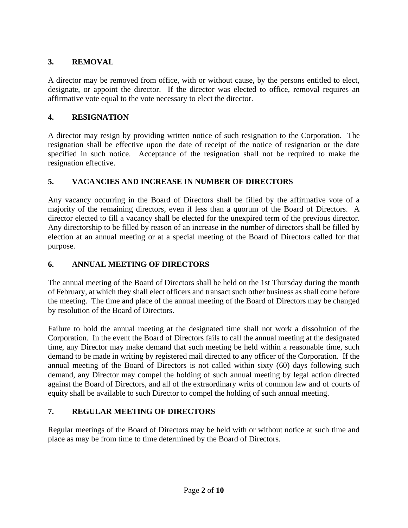# **3. REMOVAL**

A director may be removed from office, with or without cause, by the persons entitled to elect, designate, or appoint the director. If the director was elected to office, removal requires an affirmative vote equal to the vote necessary to elect the director.

# **4. RESIGNATION**

A director may resign by providing written notice of such resignation to the Corporation. The resignation shall be effective upon the date of receipt of the notice of resignation or the date specified in such notice. Acceptance of the resignation shall not be required to make the resignation effective.

# **5. VACANCIES AND INCREASE IN NUMBER OF DIRECTORS**

Any vacancy occurring in the Board of Directors shall be filled by the affirmative vote of a majority of the remaining directors, even if less than a quorum of the Board of Directors. A director elected to fill a vacancy shall be elected for the unexpired term of the previous director. Any directorship to be filled by reason of an increase in the number of directors shall be filled by election at an annual meeting or at a special meeting of the Board of Directors called for that purpose.

# **6. ANNUAL MEETING OF DIRECTORS**

The annual meeting of the Board of Directors shall be held on the 1st Thursday during the month of February, at which they shall elect officers and transact such other business as shall come before the meeting. The time and place of the annual meeting of the Board of Directors may be changed by resolution of the Board of Directors.

Failure to hold the annual meeting at the designated time shall not work a dissolution of the Corporation. In the event the Board of Directors fails to call the annual meeting at the designated time, any Director may make demand that such meeting be held within a reasonable time, such demand to be made in writing by registered mail directed to any officer of the Corporation. If the annual meeting of the Board of Directors is not called within sixty (60) days following such demand, any Director may compel the holding of such annual meeting by legal action directed against the Board of Directors, and all of the extraordinary writs of common law and of courts of equity shall be available to such Director to compel the holding of such annual meeting.

# **7. REGULAR MEETING OF DIRECTORS**

Regular meetings of the Board of Directors may be held with or without notice at such time and place as may be from time to time determined by the Board of Directors.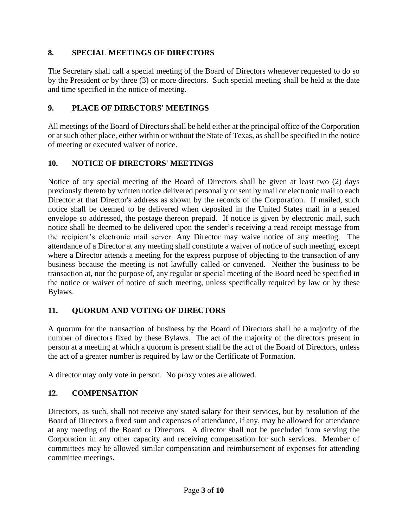# **8. SPECIAL MEETINGS OF DIRECTORS**

The Secretary shall call a special meeting of the Board of Directors whenever requested to do so by the President or by three (3) or more directors. Such special meeting shall be held at the date and time specified in the notice of meeting.

# **9. PLACE OF DIRECTORS' MEETINGS**

All meetings of the Board of Directors shall be held either at the principal office of the Corporation or at such other place, either within or without the State of Texas, as shall be specified in the notice of meeting or executed waiver of notice.

# **10. NOTICE OF DIRECTORS' MEETINGS**

Notice of any special meeting of the Board of Directors shall be given at least two (2) days previously thereto by written notice delivered personally or sent by mail or electronic mail to each Director at that Director's address as shown by the records of the Corporation. If mailed, such notice shall be deemed to be delivered when deposited in the United States mail in a sealed envelope so addressed, the postage thereon prepaid. If notice is given by electronic mail, such notice shall be deemed to be delivered upon the sender's receiving a read receipt message from the recipient's electronic mail server. Any Director may waive notice of any meeting. The attendance of a Director at any meeting shall constitute a waiver of notice of such meeting, except where a Director attends a meeting for the express purpose of objecting to the transaction of any business because the meeting is not lawfully called or convened. Neither the business to be transaction at, nor the purpose of, any regular or special meeting of the Board need be specified in the notice or waiver of notice of such meeting, unless specifically required by law or by these Bylaws.

## **11. QUORUM AND VOTING OF DIRECTORS**

A quorum for the transaction of business by the Board of Directors shall be a majority of the number of directors fixed by these Bylaws. The act of the majority of the directors present in person at a meeting at which a quorum is present shall be the act of the Board of Directors, unless the act of a greater number is required by law or the Certificate of Formation.

A director may only vote in person. No proxy votes are allowed.

## **12. COMPENSATION**

Directors, as such, shall not receive any stated salary for their services, but by resolution of the Board of Directors a fixed sum and expenses of attendance, if any, may be allowed for attendance at any meeting of the Board or Directors. A director shall not be precluded from serving the Corporation in any other capacity and receiving compensation for such services. Member of committees may be allowed similar compensation and reimbursement of expenses for attending committee meetings.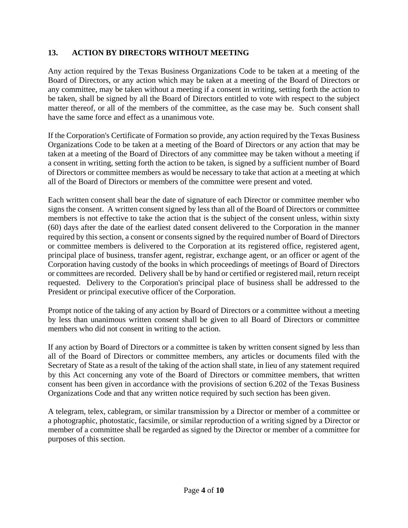# **13. ACTION BY DIRECTORS WITHOUT MEETING**

Any action required by the Texas Business Organizations Code to be taken at a meeting of the Board of Directors, or any action which may be taken at a meeting of the Board of Directors or any committee, may be taken without a meeting if a consent in writing, setting forth the action to be taken, shall be signed by all the Board of Directors entitled to vote with respect to the subject matter thereof, or all of the members of the committee, as the case may be. Such consent shall have the same force and effect as a unanimous vote.

If the Corporation's Certificate of Formation so provide, any action required by the Texas Business Organizations Code to be taken at a meeting of the Board of Directors or any action that may be taken at a meeting of the Board of Directors of any committee may be taken without a meeting if a consent in writing, setting forth the action to be taken, is signed by a sufficient number of Board of Directors or committee members as would be necessary to take that action at a meeting at which all of the Board of Directors or members of the committee were present and voted.

Each written consent shall bear the date of signature of each Director or committee member who signs the consent. A written consent signed by less than all of the Board of Directors or committee members is not effective to take the action that is the subject of the consent unless, within sixty (60) days after the date of the earliest dated consent delivered to the Corporation in the manner required by this section, a consent or consents signed by the required number of Board of Directors or committee members is delivered to the Corporation at its registered office, registered agent, principal place of business, transfer agent, registrar, exchange agent, or an officer or agent of the Corporation having custody of the books in which proceedings of meetings of Board of Directors or committees are recorded. Delivery shall be by hand or certified or registered mail, return receipt requested. Delivery to the Corporation's principal place of business shall be addressed to the President or principal executive officer of the Corporation.

Prompt notice of the taking of any action by Board of Directors or a committee without a meeting by less than unanimous written consent shall be given to all Board of Directors or committee members who did not consent in writing to the action.

If any action by Board of Directors or a committee is taken by written consent signed by less than all of the Board of Directors or committee members, any articles or documents filed with the Secretary of State as a result of the taking of the action shall state, in lieu of any statement required by this Act concerning any vote of the Board of Directors or committee members, that written consent has been given in accordance with the provisions of section 6.202 of the Texas Business Organizations Code and that any written notice required by such section has been given.

A telegram, telex, cablegram, or similar transmission by a Director or member of a committee or a photographic, photostatic, facsimile, or similar reproduction of a writing signed by a Director or member of a committee shall be regarded as signed by the Director or member of a committee for purposes of this section.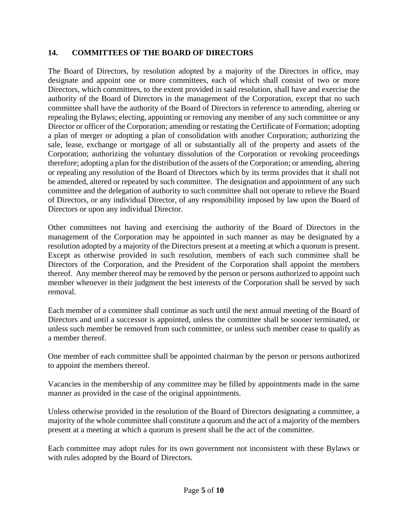### **14. COMMITTEES OF THE BOARD OF DIRECTORS**

The Board of Directors, by resolution adopted by a majority of the Directors in office, may designate and appoint one or more committees, each of which shall consist of two or more Directors, which committees, to the extent provided in said resolution, shall have and exercise the authority of the Board of Directors in the management of the Corporation, except that no such committee shall have the authority of the Board of Directors in reference to amending, altering or repealing the Bylaws; electing, appointing or removing any member of any such committee or any Director or officer of the Corporation; amending or restating the Certificate of Formation; adopting a plan of merger or adopting a plan of consolidation with another Corporation; authorizing the sale, lease, exchange or mortgage of all or substantially all of the property and assets of the Corporation; authorizing the voluntary dissolution of the Corporation or revoking proceedings therefore; adopting a plan for the distribution of the assets of the Corporation; or amending, altering or repealing any resolution of the Board of Directors which by its terms provides that it shall not be amended, altered or repeated by such committee. The designation and appointment of any such committee and the delegation of authority to such committee shall not operate to relieve the Board of Directors, or any individual Director, of any responsibility imposed by law upon the Board of Directors or upon any individual Director.

Other committees not having and exercising the authority of the Board of Directors in the management of the Corporation may be appointed in such manner as may be designated by a resolution adopted by a majority of the Directors present at a meeting at which a quorum is present. Except as otherwise provided in such resolution, members of each such committee shall be Directors of the Corporation, and the President of the Corporation shall appoint the members thereof. Any member thereof may be removed by the person or persons authorized to appoint such member whenever in their judgment the best interests of the Corporation shall be served by such removal.

Each member of a committee shall continue as such until the next annual meeting of the Board of Directors and until a successor is appointed, unless the committee shall be sooner terminated, or unless such member be removed from such committee, or unless such member cease to qualify as a member thereof.

One member of each committee shall be appointed chairman by the person or persons authorized to appoint the members thereof.

Vacancies in the membership of any committee may be filled by appointments made in the same manner as provided in the case of the original appointments.

Unless otherwise provided in the resolution of the Board of Directors designating a committee, a majority of the whole committee shall constitute a quorum and the act of a majority of the members present at a meeting at which a quorum is present shall be the act of the committee.

Each committee may adopt rules for its own government not inconsistent with these Bylaws or with rules adopted by the Board of Directors.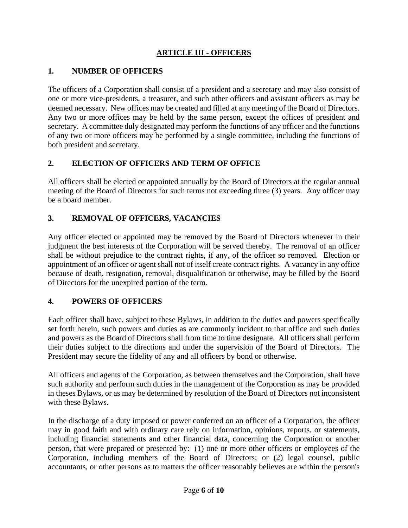# **ARTICLE III - OFFICERS**

## **1. NUMBER OF OFFICERS**

The officers of a Corporation shall consist of a president and a secretary and may also consist of one or more vice-presidents, a treasurer, and such other officers and assistant officers as may be deemed necessary. New offices may be created and filled at any meeting of the Board of Directors. Any two or more offices may be held by the same person, except the offices of president and secretary. A committee duly designated may perform the functions of any officer and the functions of any two or more officers may be performed by a single committee, including the functions of both president and secretary.

### **2. ELECTION OF OFFICERS AND TERM OF OFFICE**

All officers shall be elected or appointed annually by the Board of Directors at the regular annual meeting of the Board of Directors for such terms not exceeding three (3) years. Any officer may be a board member.

### **3. REMOVAL OF OFFICERS, VACANCIES**

Any officer elected or appointed may be removed by the Board of Directors whenever in their judgment the best interests of the Corporation will be served thereby. The removal of an officer shall be without prejudice to the contract rights, if any, of the officer so removed. Election or appointment of an officer or agent shall not of itself create contract rights. A vacancy in any office because of death, resignation, removal, disqualification or otherwise, may be filled by the Board of Directors for the unexpired portion of the term.

#### **4. POWERS OF OFFICERS**

Each officer shall have, subject to these Bylaws, in addition to the duties and powers specifically set forth herein, such powers and duties as are commonly incident to that office and such duties and powers as the Board of Directors shall from time to time designate. All officers shall perform their duties subject to the directions and under the supervision of the Board of Directors. The President may secure the fidelity of any and all officers by bond or otherwise.

All officers and agents of the Corporation, as between themselves and the Corporation, shall have such authority and perform such duties in the management of the Corporation as may be provided in theses Bylaws, or as may be determined by resolution of the Board of Directors not inconsistent with these Bylaws.

In the discharge of a duty imposed or power conferred on an officer of a Corporation, the officer may in good faith and with ordinary care rely on information, opinions, reports, or statements, including financial statements and other financial data, concerning the Corporation or another person, that were prepared or presented by: (1) one or more other officers or employees of the Corporation, including members of the Board of Directors; or (2) legal counsel, public accountants, or other persons as to matters the officer reasonably believes are within the person's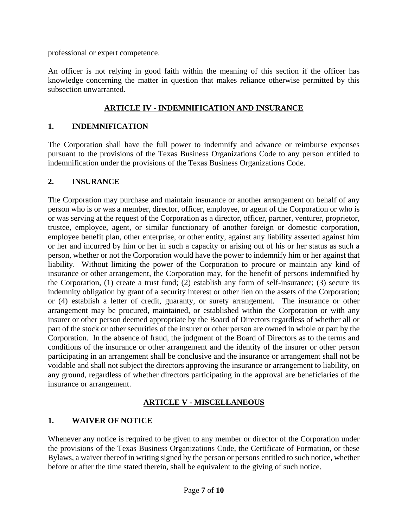professional or expert competence.

An officer is not relying in good faith within the meaning of this section if the officer has knowledge concerning the matter in question that makes reliance otherwise permitted by this subsection unwarranted.

# **ARTICLE IV - INDEMNIFICATION AND INSURANCE**

# **1. INDEMNIFICATION**

The Corporation shall have the full power to indemnify and advance or reimburse expenses pursuant to the provisions of the Texas Business Organizations Code to any person entitled to indemnification under the provisions of the Texas Business Organizations Code.

## **2. INSURANCE**

The Corporation may purchase and maintain insurance or another arrangement on behalf of any person who is or was a member, director, officer, employee, or agent of the Corporation or who is or was serving at the request of the Corporation as a director, officer, partner, venturer, proprietor, trustee, employee, agent, or similar functionary of another foreign or domestic corporation, employee benefit plan, other enterprise, or other entity, against any liability asserted against him or her and incurred by him or her in such a capacity or arising out of his or her status as such a person, whether or not the Corporation would have the power to indemnify him or her against that liability. Without limiting the power of the Corporation to procure or maintain any kind of insurance or other arrangement, the Corporation may, for the benefit of persons indemnified by the Corporation, (1) create a trust fund; (2) establish any form of self-insurance; (3) secure its indemnity obligation by grant of a security interest or other lien on the assets of the Corporation; or (4) establish a letter of credit, guaranty, or surety arrangement. The insurance or other arrangement may be procured, maintained, or established within the Corporation or with any insurer or other person deemed appropriate by the Board of Directors regardless of whether all or part of the stock or other securities of the insurer or other person are owned in whole or part by the Corporation. In the absence of fraud, the judgment of the Board of Directors as to the terms and conditions of the insurance or other arrangement and the identity of the insurer or other person participating in an arrangement shall be conclusive and the insurance or arrangement shall not be voidable and shall not subject the directors approving the insurance or arrangement to liability, on any ground, regardless of whether directors participating in the approval are beneficiaries of the insurance or arrangement.

## **ARTICLE V - MISCELLANEOUS**

## **1. WAIVER OF NOTICE**

Whenever any notice is required to be given to any member or director of the Corporation under the provisions of the Texas Business Organizations Code, the Certificate of Formation, or these Bylaws, a waiver thereof in writing signed by the person or persons entitled to such notice, whether before or after the time stated therein, shall be equivalent to the giving of such notice.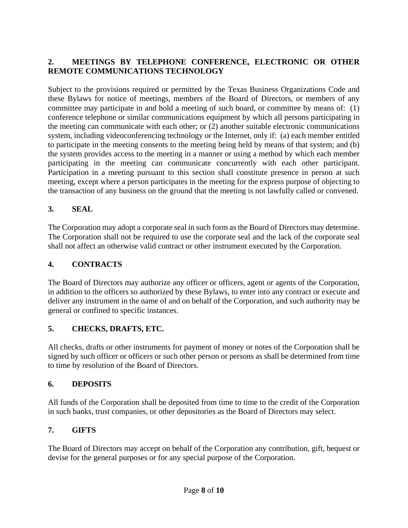# **2. MEETINGS BY TELEPHONE CONFERENCE, ELECTRONIC OR OTHER REMOTE COMMUNICATIONS TECHNOLOGY**

Subject to the provisions required or permitted by the Texas Business Organizations Code and these Bylaws for notice of meetings, members of the Board of Directors, or members of any committee may participate in and hold a meeting of such board, or committee by means of: (1) conference telephone or similar communications equipment by which all persons participating in the meeting can communicate with each other; or (2) another suitable electronic communications system, including videoconferencing technology or the Internet, only if: (a) each member entitled to participate in the meeting consents to the meeting being held by means of that system; and (b) the system provides access to the meeting in a manner or using a method by which each member participating in the meeting can communicate concurrently with each other participant. Participation in a meeting pursuant to this section shall constitute presence in person at such meeting, except where a person participates in the meeting for the express purpose of objecting to the transaction of any business on the ground that the meeting is not lawfully called or convened.

## **3. SEAL**

The Corporation may adopt a corporate seal in such form as the Board of Directors may determine. The Corporation shall not be required to use the corporate seal and the lack of the corporate seal shall not affect an otherwise valid contract or other instrument executed by the Corporation.

### **4. CONTRACTS**

The Board of Directors may authorize any officer or officers, agent or agents of the Corporation, in addition to the officers so authorized by these Bylaws, to enter into any contract or execute and deliver any instrument in the name of and on behalf of the Corporation, and such authority may be general or confined to specific instances.

#### **5. CHECKS, DRAFTS, ETC.**

All checks, drafts or other instruments for payment of money or notes of the Corporation shall be signed by such officer or officers or such other person or persons as shall be determined from time to time by resolution of the Board of Directors.

#### **6. DEPOSITS**

All funds of the Corporation shall be deposited from time to time to the credit of the Corporation in such banks, trust companies, or other depositories as the Board of Directors may select.

## **7. GIFTS**

The Board of Directors may accept on behalf of the Corporation any contribution, gift, bequest or devise for the general purposes or for any special purpose of the Corporation.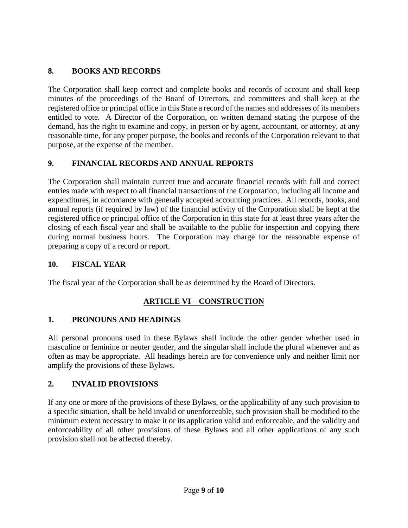# **8. BOOKS AND RECORDS**

The Corporation shall keep correct and complete books and records of account and shall keep minutes of the proceedings of the Board of Directors, and committees and shall keep at the registered office or principal office in this State a record of the names and addresses of its members entitled to vote. A Director of the Corporation, on written demand stating the purpose of the demand, has the right to examine and copy, in person or by agent, accountant, or attorney, at any reasonable time, for any proper purpose, the books and records of the Corporation relevant to that purpose, at the expense of the member.

# **9. FINANCIAL RECORDS AND ANNUAL REPORTS**

The Corporation shall maintain current true and accurate financial records with full and correct entries made with respect to all financial transactions of the Corporation, including all income and expenditures, in accordance with generally accepted accounting practices. All records, books, and annual reports (if required by law) of the financial activity of the Corporation shall be kept at the registered office or principal office of the Corporation in this state for at least three years after the closing of each fiscal year and shall be available to the public for inspection and copying there during normal business hours. The Corporation may charge for the reasonable expense of preparing a copy of a record or report.

## **10. FISCAL YEAR**

The fiscal year of the Corporation shall be as determined by the Board of Directors.

## **ARTICLE VI – CONSTRUCTION**

## **1. PRONOUNS AND HEADINGS**

All personal pronouns used in these Bylaws shall include the other gender whether used in masculine or feminine or neuter gender, and the singular shall include the plural whenever and as often as may be appropriate. All headings herein are for convenience only and neither limit nor amplify the provisions of these Bylaws.

## **2. INVALID PROVISIONS**

If any one or more of the provisions of these Bylaws, or the applicability of any such provision to a specific situation, shall be held invalid or unenforceable, such provision shall be modified to the minimum extent necessary to make it or its application valid and enforceable, and the validity and enforceability of all other provisions of these Bylaws and all other applications of any such provision shall not be affected thereby.